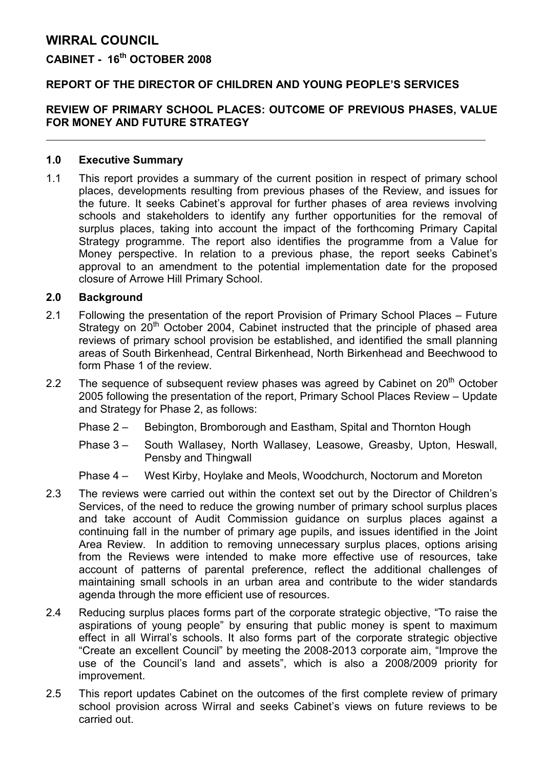# WIRRAL COUNCIL

# CABINET - 16th OCTOBER 2008

# REPORT OF THE DIRECTOR OF CHILDREN AND YOUNG PEOPLE'S SERVICES

# REVIEW OF PRIMARY SCHOOL PLACES: OUTCOME OF PREVIOUS PHASES, VALUE FOR MONEY AND FUTURE STRATEGY

#### 1.0 Executive Summary

1.1 This report provides a summary of the current position in respect of primary school places, developments resulting from previous phases of the Review, and issues for the future. It seeks Cabinet's approval for further phases of area reviews involving schools and stakeholders to identify any further opportunities for the removal of surplus places, taking into account the impact of the forthcoming Primary Capital Strategy programme. The report also identifies the programme from a Value for Money perspective. In relation to a previous phase, the report seeks Cabinet's approval to an amendment to the potential implementation date for the proposed closure of Arrowe Hill Primary School.

#### 2.0 Background

- 2.1 Following the presentation of the report Provision of Primary School Places Future Strategy on  $20<sup>th</sup>$  October 2004, Cabinet instructed that the principle of phased area reviews of primary school provision be established, and identified the small planning areas of South Birkenhead, Central Birkenhead, North Birkenhead and Beechwood to form Phase 1 of the review.
- 2.2 The sequence of subsequent review phases was agreed by Cabinet on  $20<sup>th</sup>$  October 2005 following the presentation of the report, Primary School Places Review – Update and Strategy for Phase 2, as follows:
	- Phase 2 Bebington, Bromborough and Eastham, Spital and Thornton Hough
	- Phase 3 South Wallasey, North Wallasey, Leasowe, Greasby, Upton, Heswall, Pensby and Thingwall
	- Phase 4 West Kirby, Hoylake and Meols, Woodchurch, Noctorum and Moreton
- 2.3 The reviews were carried out within the context set out by the Director of Children's Services, of the need to reduce the growing number of primary school surplus places and take account of Audit Commission guidance on surplus places against a continuing fall in the number of primary age pupils, and issues identified in the Joint Area Review. In addition to removing unnecessary surplus places, options arising from the Reviews were intended to make more effective use of resources, take account of patterns of parental preference, reflect the additional challenges of maintaining small schools in an urban area and contribute to the wider standards agenda through the more efficient use of resources.
- 2.4 Reducing surplus places forms part of the corporate strategic objective, "To raise the aspirations of young people" by ensuring that public money is spent to maximum effect in all Wirral's schools. It also forms part of the corporate strategic objective "Create an excellent Council" by meeting the 2008-2013 corporate aim, "Improve the use of the Council's land and assets", which is also a 2008/2009 priority for improvement.
- 2.5 This report updates Cabinet on the outcomes of the first complete review of primary school provision across Wirral and seeks Cabinet's views on future reviews to be carried out.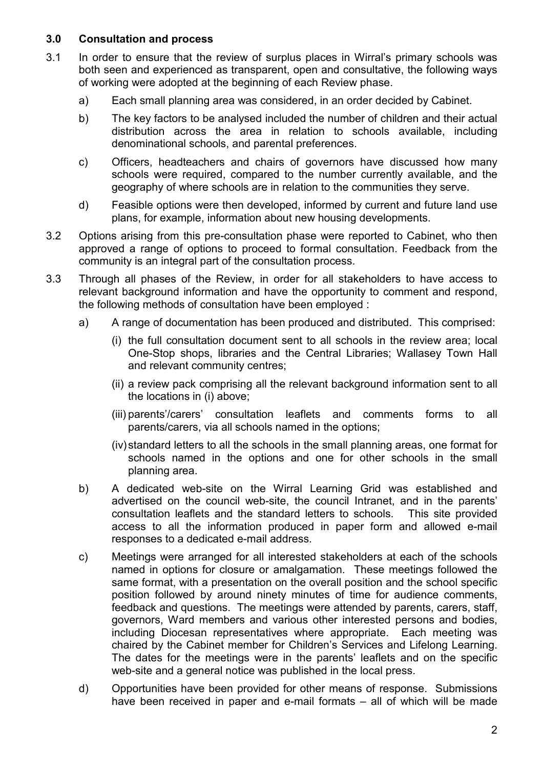# 3.0 Consultation and process

- 3.1 In order to ensure that the review of surplus places in Wirral's primary schools was both seen and experienced as transparent, open and consultative, the following ways of working were adopted at the beginning of each Review phase.
	- a) Each small planning area was considered, in an order decided by Cabinet.
	- b) The key factors to be analysed included the number of children and their actual distribution across the area in relation to schools available, including denominational schools, and parental preferences.
	- c) Officers, headteachers and chairs of governors have discussed how many schools were required, compared to the number currently available, and the geography of where schools are in relation to the communities they serve.
	- d) Feasible options were then developed, informed by current and future land use plans, for example, information about new housing developments.
- 3.2 Options arising from this pre-consultation phase were reported to Cabinet, who then approved a range of options to proceed to formal consultation. Feedback from the community is an integral part of the consultation process.
- 3.3 Through all phases of the Review, in order for all stakeholders to have access to relevant background information and have the opportunity to comment and respond, the following methods of consultation have been employed :
	- a) A range of documentation has been produced and distributed. This comprised:
		- (i) the full consultation document sent to all schools in the review area; local One-Stop shops, libraries and the Central Libraries; Wallasey Town Hall and relevant community centres;
		- (ii) a review pack comprising all the relevant background information sent to all the locations in (i) above;
		- (iii) parents'/carers' consultation leaflets and comments forms to all parents/carers, via all schools named in the options;
		- (iv) standard letters to all the schools in the small planning areas, one format for schools named in the options and one for other schools in the small planning area.
	- b) A dedicated web-site on the Wirral Learning Grid was established and advertised on the council web-site, the council Intranet, and in the parents' consultation leaflets and the standard letters to schools. This site provided access to all the information produced in paper form and allowed e-mail responses to a dedicated e-mail address.
	- c) Meetings were arranged for all interested stakeholders at each of the schools named in options for closure or amalgamation. These meetings followed the same format, with a presentation on the overall position and the school specific position followed by around ninety minutes of time for audience comments, feedback and questions. The meetings were attended by parents, carers, staff, governors, Ward members and various other interested persons and bodies, including Diocesan representatives where appropriate. Each meeting was chaired by the Cabinet member for Children's Services and Lifelong Learning. The dates for the meetings were in the parents' leaflets and on the specific web-site and a general notice was published in the local press.
	- d) Opportunities have been provided for other means of response. Submissions have been received in paper and e-mail formats – all of which will be made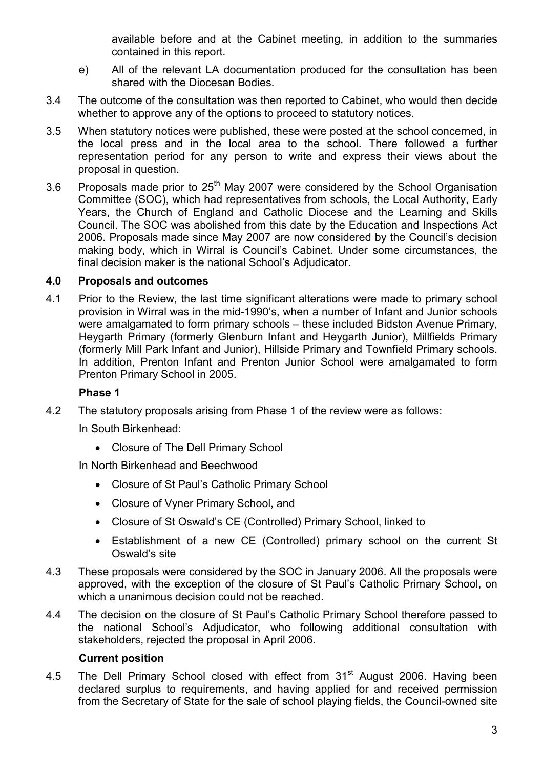available before and at the Cabinet meeting, in addition to the summaries contained in this report.

- e) All of the relevant LA documentation produced for the consultation has been shared with the Diocesan Bodies.
- 3.4 The outcome of the consultation was then reported to Cabinet, who would then decide whether to approve any of the options to proceed to statutory notices.
- 3.5 When statutory notices were published, these were posted at the school concerned, in the local press and in the local area to the school. There followed a further representation period for any person to write and express their views about the proposal in question.
- 3.6 Proposals made prior to  $25<sup>th</sup>$  May 2007 were considered by the School Organisation Committee (SOC), which had representatives from schools, the Local Authority, Early Years, the Church of England and Catholic Diocese and the Learning and Skills Council. The SOC was abolished from this date by the Education and Inspections Act 2006. Proposals made since May 2007 are now considered by the Council's decision making body, which in Wirral is Council's Cabinet. Under some circumstances, the final decision maker is the national School's Adjudicator.

# 4.0 Proposals and outcomes

4.1 Prior to the Review, the last time significant alterations were made to primary school provision in Wirral was in the mid-1990's, when a number of Infant and Junior schools were amalgamated to form primary schools – these included Bidston Avenue Primary, Heygarth Primary (formerly Glenburn Infant and Heygarth Junior), Millfields Primary (formerly Mill Park Infant and Junior), Hillside Primary and Townfield Primary schools. In addition, Prenton Infant and Prenton Junior School were amalgamated to form Prenton Primary School in 2005.

#### Phase 1

4.2 The statutory proposals arising from Phase 1 of the review were as follows:

In South Birkenhead:

• Closure of The Dell Primary School

In North Birkenhead and Beechwood

- Closure of St Paul's Catholic Primary School
- Closure of Vyner Primary School, and
- Closure of St Oswald's CE (Controlled) Primary School, linked to
- Establishment of a new CE (Controlled) primary school on the current St Oswald's site
- 4.3 These proposals were considered by the SOC in January 2006. All the proposals were approved, with the exception of the closure of St Paul's Catholic Primary School, on which a unanimous decision could not be reached.
- 4.4 The decision on the closure of St Paul's Catholic Primary School therefore passed to the national School's Adjudicator, who following additional consultation with stakeholders, rejected the proposal in April 2006.

#### Current position

4.5 The Dell Primary School closed with effect from 31<sup>st</sup> August 2006. Having been declared surplus to requirements, and having applied for and received permission from the Secretary of State for the sale of school playing fields, the Council-owned site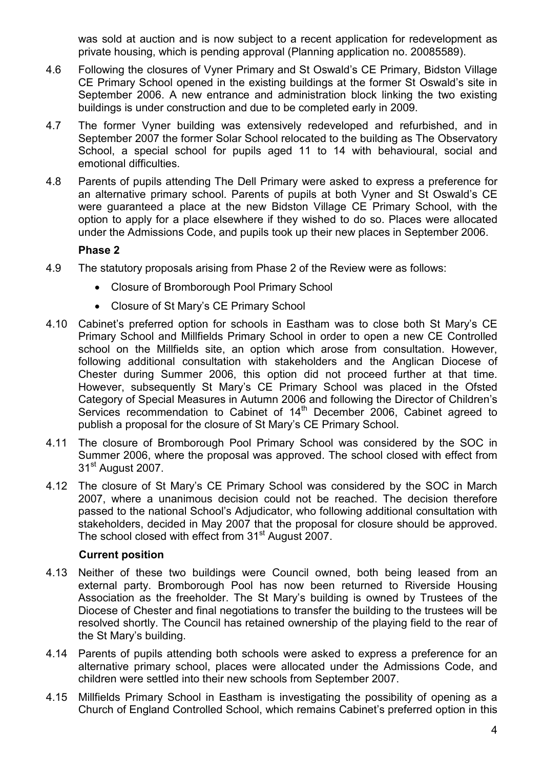was sold at auction and is now subject to a recent application for redevelopment as private housing, which is pending approval (Planning application no. 20085589).

- 4.6 Following the closures of Vyner Primary and St Oswald's CE Primary, Bidston Village CE Primary School opened in the existing buildings at the former St Oswald's site in September 2006. A new entrance and administration block linking the two existing buildings is under construction and due to be completed early in 2009.
- 4.7 The former Vyner building was extensively redeveloped and refurbished, and in September 2007 the former Solar School relocated to the building as The Observatory School, a special school for pupils aged 11 to 14 with behavioural, social and emotional difficulties.
- 4.8 Parents of pupils attending The Dell Primary were asked to express a preference for an alternative primary school. Parents of pupils at both Vyner and St Oswald's CE were guaranteed a place at the new Bidston Village CE Primary School, with the option to apply for a place elsewhere if they wished to do so. Places were allocated under the Admissions Code, and pupils took up their new places in September 2006.

# Phase 2

- 4.9 The statutory proposals arising from Phase 2 of the Review were as follows:
	- Closure of Bromborough Pool Primary School
	- Closure of St Mary's CE Primary School
- 4.10 Cabinet's preferred option for schools in Eastham was to close both St Mary's CE Primary School and Millfields Primary School in order to open a new CE Controlled school on the Millfields site, an option which arose from consultation. However, following additional consultation with stakeholders and the Anglican Diocese of Chester during Summer 2006, this option did not proceed further at that time. However, subsequently St Mary's CE Primary School was placed in the Ofsted Category of Special Measures in Autumn 2006 and following the Director of Children's Services recommendation to Cabinet of 14<sup>th</sup> December 2006, Cabinet agreed to publish a proposal for the closure of St Mary's CE Primary School.
- 4.11 The closure of Bromborough Pool Primary School was considered by the SOC in Summer 2006, where the proposal was approved. The school closed with effect from 31<sup>st</sup> August 2007.
- 4.12 The closure of St Mary's CE Primary School was considered by the SOC in March 2007, where a unanimous decision could not be reached. The decision therefore passed to the national School's Adjudicator, who following additional consultation with stakeholders, decided in May 2007 that the proposal for closure should be approved. The school closed with effect from 31<sup>st</sup> August 2007.

#### Current position

- 4.13 Neither of these two buildings were Council owned, both being leased from an external party. Bromborough Pool has now been returned to Riverside Housing Association as the freeholder. The St Mary's building is owned by Trustees of the Diocese of Chester and final negotiations to transfer the building to the trustees will be resolved shortly. The Council has retained ownership of the playing field to the rear of the St Mary's building.
- 4.14 Parents of pupils attending both schools were asked to express a preference for an alternative primary school, places were allocated under the Admissions Code, and children were settled into their new schools from September 2007.
- 4.15 Millfields Primary School in Eastham is investigating the possibility of opening as a Church of England Controlled School, which remains Cabinet's preferred option in this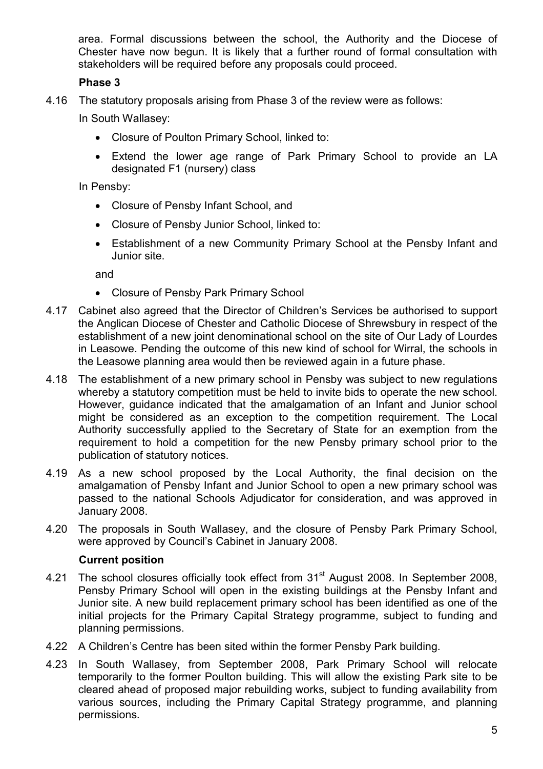area. Formal discussions between the school, the Authority and the Diocese of Chester have now begun. It is likely that a further round of formal consultation with stakeholders will be required before any proposals could proceed.

# Phase 3

4.16 The statutory proposals arising from Phase 3 of the review were as follows:

In South Wallasey:

- Closure of Poulton Primary School, linked to:
- Extend the lower age range of Park Primary School to provide an LA designated F1 (nursery) class

In Pensby:

- Closure of Pensby Infant School, and
- Closure of Pensby Junior School, linked to:
- Establishment of a new Community Primary School at the Pensby Infant and Junior site.

and

- Closure of Pensby Park Primary School
- 4.17 Cabinet also agreed that the Director of Children's Services be authorised to support the Anglican Diocese of Chester and Catholic Diocese of Shrewsbury in respect of the establishment of a new joint denominational school on the site of Our Lady of Lourdes in Leasowe. Pending the outcome of this new kind of school for Wirral, the schools in the Leasowe planning area would then be reviewed again in a future phase.
- 4.18 The establishment of a new primary school in Pensby was subject to new regulations whereby a statutory competition must be held to invite bids to operate the new school. However, guidance indicated that the amalgamation of an Infant and Junior school might be considered as an exception to the competition requirement. The Local Authority successfully applied to the Secretary of State for an exemption from the requirement to hold a competition for the new Pensby primary school prior to the publication of statutory notices.
- 4.19 As a new school proposed by the Local Authority, the final decision on the amalgamation of Pensby Infant and Junior School to open a new primary school was passed to the national Schools Adjudicator for consideration, and was approved in January 2008.
- 4.20 The proposals in South Wallasey, and the closure of Pensby Park Primary School, were approved by Council's Cabinet in January 2008.

#### Current position

- 4.21 The school closures officially took effect from 31<sup>st</sup> August 2008. In September 2008, Pensby Primary School will open in the existing buildings at the Pensby Infant and Junior site. A new build replacement primary school has been identified as one of the initial projects for the Primary Capital Strategy programme, subject to funding and planning permissions.
- 4.22 A Children's Centre has been sited within the former Pensby Park building.
- 4.23 In South Wallasey, from September 2008, Park Primary School will relocate temporarily to the former Poulton building. This will allow the existing Park site to be cleared ahead of proposed major rebuilding works, subject to funding availability from various sources, including the Primary Capital Strategy programme, and planning permissions.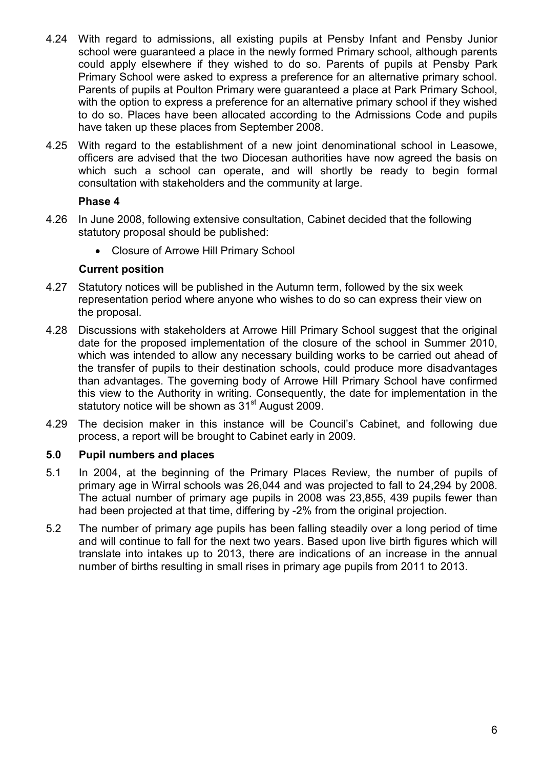- 4.24 With regard to admissions, all existing pupils at Pensby Infant and Pensby Junior school were guaranteed a place in the newly formed Primary school, although parents could apply elsewhere if they wished to do so. Parents of pupils at Pensby Park Primary School were asked to express a preference for an alternative primary school. Parents of pupils at Poulton Primary were guaranteed a place at Park Primary School, with the option to express a preference for an alternative primary school if they wished to do so. Places have been allocated according to the Admissions Code and pupils have taken up these places from September 2008.
- 4.25 With regard to the establishment of a new joint denominational school in Leasowe, officers are advised that the two Diocesan authorities have now agreed the basis on which such a school can operate, and will shortly be ready to begin formal consultation with stakeholders and the community at large.

# Phase 4

- 4.26 In June 2008, following extensive consultation, Cabinet decided that the following statutory proposal should be published:
	- Closure of Arrowe Hill Primary School

# Current position

- 4.27 Statutory notices will be published in the Autumn term, followed by the six week representation period where anyone who wishes to do so can express their view on the proposal.
- 4.28 Discussions with stakeholders at Arrowe Hill Primary School suggest that the original date for the proposed implementation of the closure of the school in Summer 2010, which was intended to allow any necessary building works to be carried out ahead of the transfer of pupils to their destination schools, could produce more disadvantages than advantages. The governing body of Arrowe Hill Primary School have confirmed this view to the Authority in writing. Consequently, the date for implementation in the statutory notice will be shown as  $31^{st}$  August 2009.
- 4.29 The decision maker in this instance will be Council's Cabinet, and following due process, a report will be brought to Cabinet early in 2009.

# 5.0 Pupil numbers and places

- 5.1 In 2004, at the beginning of the Primary Places Review, the number of pupils of primary age in Wirral schools was 26,044 and was projected to fall to 24,294 by 2008. The actual number of primary age pupils in 2008 was 23,855, 439 pupils fewer than had been projected at that time, differing by -2% from the original projection.
- 5.2 The number of primary age pupils has been falling steadily over a long period of time and will continue to fall for the next two years. Based upon live birth figures which will translate into intakes up to 2013, there are indications of an increase in the annual number of births resulting in small rises in primary age pupils from 2011 to 2013.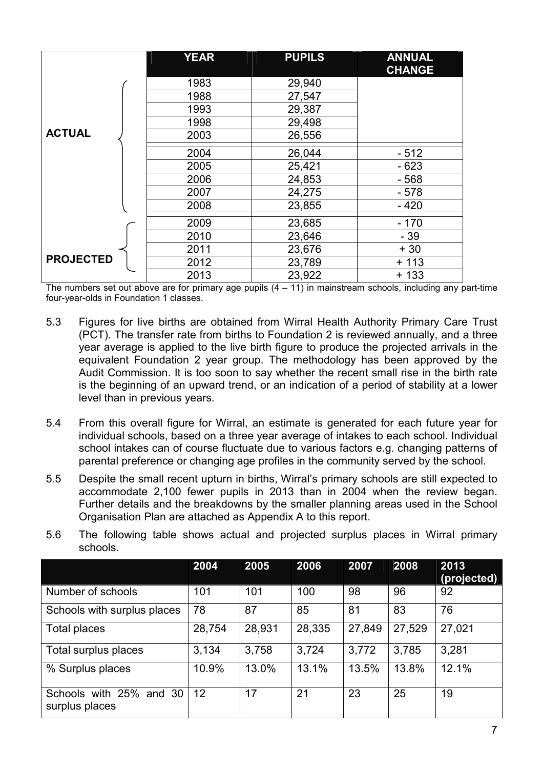|                  | <b>YEAR</b> | <b>PUPILS</b> | <b>ANNUAL</b><br><b>CHANGE</b> |
|------------------|-------------|---------------|--------------------------------|
|                  | 1983        | 29,940        |                                |
| <b>ACTUAL</b>    | 1988        | 27,547        |                                |
|                  | 1993        | 29,387        |                                |
|                  | 1998        | 29,498        |                                |
|                  | 2003        | 26,556        |                                |
|                  | 2004        | 26,044        | $-512$                         |
|                  | 2005        | 25,421        | $-623$                         |
|                  | 2006        | 24,853        | $-568$                         |
|                  | 2007        | 24,275        | $-578$                         |
|                  | 2008        | 23,855        | $-420$                         |
|                  | 2009        | 23,685        | $-170$                         |
| <b>PROJECTED</b> | 2010        | 23,646        | $-39$                          |
|                  | 2011        | 23,676        | $+30$                          |
|                  | 2012        | 23,789        | $+113$                         |
|                  | 2013        | 23,922        | $+133$                         |

The numbers set out above are for primary age pupils  $(4 - 11)$  in mainstream schools, including any part-time four-year-olds in Foundation 1 classes.

- 5.3 Figures for live births are obtained from Wirral Health Authority Primary Care Trust (PCT). The transfer rate from births to Foundation 2 is reviewed annually, and a three year average is applied to the live birth figure to produce the projected arrivals in the equivalent Foundation 2 year group. The methodology has been approved by the Audit Commission. It is too soon to say whether the recent small rise in the birth rate is the beginning of an upward trend, or an indication of a period of stability at a lower level than in previous years.
- 5.4 From this overall figure for Wirral, an estimate is generated for each future year for individual schools, based on a three year average of intakes to each school. Individual school intakes can of course fluctuate due to various factors e.g. changing patterns of parental preference or changing age profiles in the community served by the school.
- 5.5 Despite the small recent upturn in births, Wirral's primary schools are still expected to accommodate 2,100 fewer pupils in 2013 than in 2004 when the review began. Further details and the breakdowns by the smaller planning areas used in the School Organisation Plan are attached as Appendix A to this report.
- 5.6 The following table shows actual and projected surplus places in Wirral primary schools.

|                                           | 2004   | 2005   | 2006   | 2007   | 2008   | 2013<br>(projected) |
|-------------------------------------------|--------|--------|--------|--------|--------|---------------------|
| Number of schools                         | 101    | 101    | 100    | 98     | 96     | 92                  |
| Schools with surplus places               | 78     | 87     | 85     | 81     | 83     | 76                  |
| Total places                              | 28,754 | 28,931 | 28,335 | 27,849 | 27,529 | 27,021              |
| Total surplus places                      | 3,134  | 3,758  | 3,724  | 3,772  | 3,785  | 3,281               |
| % Surplus places                          | 10.9%  | 13.0%  | 13.1%  | 13.5%  | 13.8%  | 12.1%               |
| Schools with 25% and 30<br>surplus places | 12     | 17     | 21     | 23     | 25     | 19                  |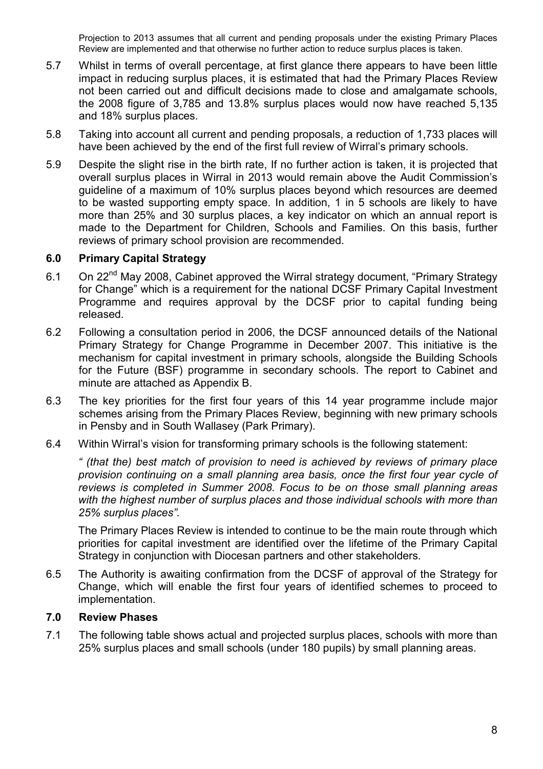Projection to 2013 assumes that all current and pending proposals under the existing Primary Places Review are implemented and that otherwise no further action to reduce surplus places is taken.

- 5.7 Whilst in terms of overall percentage, at first glance there appears to have been little impact in reducing surplus places, it is estimated that had the Primary Places Review not been carried out and difficult decisions made to close and amalgamate schools, the 2008 figure of 3,785 and 13.8% surplus places would now have reached 5,135 and 18% surplus places.
- 5.8 Taking into account all current and pending proposals, a reduction of 1,733 places will have been achieved by the end of the first full review of Wirral's primary schools.
- 5.9 Despite the slight rise in the birth rate, If no further action is taken, it is projected that overall surplus places in Wirral in 2013 would remain above the Audit Commission's guideline of a maximum of 10% surplus places beyond which resources are deemed to be wasted supporting empty space. In addition, 1 in 5 schools are likely to have more than 25% and 30 surplus places, a key indicator on which an annual report is made to the Department for Children, Schools and Families. On this basis, further reviews of primary school provision are recommended.

#### 6.0 Primary Capital Strategy

- 6.1 On 22<sup>nd</sup> May 2008, Cabinet approved the Wirral strategy document, "Primary Strategy for Change" which is a requirement for the national DCSF Primary Capital Investment Programme and requires approval by the DCSF prior to capital funding being released.
- 6.2 Following a consultation period in 2006, the DCSF announced details of the National Primary Strategy for Change Programme in December 2007. This initiative is the mechanism for capital investment in primary schools, alongside the Building Schools for the Future (BSF) programme in secondary schools. The report to Cabinet and minute are attached as Appendix B.
- 6.3 The key priorities for the first four years of this 14 year programme include major schemes arising from the Primary Places Review, beginning with new primary schools in Pensby and in South Wallasey (Park Primary).
- 6.4 Within Wirral's vision for transforming primary schools is the following statement:

" (that the) best match of provision to need is achieved by reviews of primary place provision continuing on a small planning area basis, once the first four year cycle of reviews is completed in Summer 2008. Focus to be on those small planning areas with the highest number of surplus places and those individual schools with more than 25% surplus places".

The Primary Places Review is intended to continue to be the main route through which priorities for capital investment are identified over the lifetime of the Primary Capital Strategy in conjunction with Diocesan partners and other stakeholders.

6.5 The Authority is awaiting confirmation from the DCSF of approval of the Strategy for Change, which will enable the first four years of identified schemes to proceed to implementation.

#### 7.0 Review Phases

7.1 The following table shows actual and projected surplus places, schools with more than 25% surplus places and small schools (under 180 pupils) by small planning areas.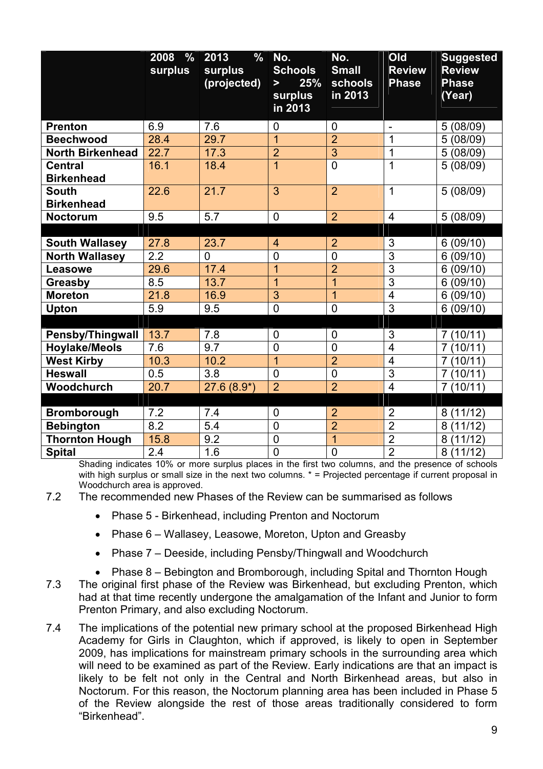|                         | 2008<br>$\frac{9}{6}$<br><b>surplus</b> | $\frac{9}{6}$<br>2013<br><b>surplus</b><br>(projected) | No.<br><b>Schools</b><br>25%<br>$\geq$<br>surplus<br>in 2013 | No.<br><b>Small</b><br>schools<br>in 2013 | Old<br><b>Review</b><br><b>Phase</b> | <b>Suggested</b><br><b>Review</b><br><b>Phase</b><br>(Year) |
|-------------------------|-----------------------------------------|--------------------------------------------------------|--------------------------------------------------------------|-------------------------------------------|--------------------------------------|-------------------------------------------------------------|
| <b>Prenton</b>          | 6.9                                     | 7.6                                                    | $\mathbf 0$                                                  | $\overline{0}$                            | $\blacksquare$                       | 5(08/09)                                                    |
| <b>Beechwood</b>        | 28.4                                    | 29.7                                                   | $\overline{1}$                                               | $\overline{2}$                            | 1                                    | 5(08/09)                                                    |
| <b>North Birkenhead</b> | 22.7                                    | 17.3                                                   | $\overline{2}$                                               | $\overline{3}$                            | $\overline{1}$                       | 5<br>(08/09)                                                |
| <b>Central</b>          | 16.1                                    | 18.4                                                   | $\overline{1}$                                               | $\overline{0}$                            | $\overline{1}$                       | 5(08/09)                                                    |
| <b>Birkenhead</b>       |                                         |                                                        |                                                              |                                           |                                      |                                                             |
| <b>South</b>            | 22.6                                    | 21.7                                                   | $\overline{3}$                                               | $\overline{2}$                            | 1                                    | 5(08/09)                                                    |
| <b>Birkenhead</b>       |                                         |                                                        |                                                              |                                           |                                      |                                                             |
| <b>Noctorum</b>         | 9.5                                     | 5.7                                                    | $\overline{0}$                                               | $\overline{2}$                            | $\overline{4}$                       | 5(08/09)                                                    |
|                         |                                         |                                                        |                                                              |                                           |                                      |                                                             |
| <b>South Wallasey</b>   | 27.8                                    | 23.7                                                   | $\overline{\mathcal{A}}$                                     | $\overline{2}$                            | 3                                    | 6(09/10)                                                    |
| <b>North Wallasey</b>   | 2.2                                     | $\mathbf 0$                                            | $\overline{0}$                                               | $\overline{0}$                            | $\overline{3}$                       | (09/10)<br>6                                                |
| <b>Leasowe</b>          | 29.6                                    | 17.4                                                   | $\overline{1}$                                               | $\overline{2}$                            | 3                                    | (09/10)<br>6                                                |
| Greasby                 | 8.5                                     | 13.7                                                   | $\overline{1}$                                               | $\overline{1}$                            | $\overline{3}$                       | (09/10)<br>6                                                |
| <b>Moreton</b>          | 21.8                                    | 16.9                                                   | $\overline{3}$                                               | $\overline{1}$                            | $\overline{4}$                       | (09/10)<br>6                                                |
| Upton                   | 5.9                                     | 9.5                                                    | $\overline{0}$                                               | $\overline{0}$                            | $\overline{3}$                       | 6(09/10)                                                    |
|                         |                                         |                                                        |                                                              |                                           |                                      |                                                             |
| Pensby/Thingwall        | 13.7                                    | 7.8                                                    | $\mathbf 0$                                                  | $\mathbf 0$                               | 3                                    | (10/11)<br>7                                                |
| <b>Hoylake/Meols</b>    | 7.6                                     | 9.7                                                    | $\overline{0}$                                               | $\overline{0}$                            | $\overline{4}$                       | 7<br>(10/11)                                                |
| <b>West Kirby</b>       | 10.3                                    | 10.2                                                   | $\overline{1}$                                               | $\overline{2}$                            | $\overline{4}$                       | (10/11)<br>7                                                |
| <b>Heswall</b>          | 0.5                                     | 3.8                                                    | $\overline{0}$                                               | $\overline{0}$                            | $\overline{3}$                       | $\overline{7}$<br>(10/11)                                   |
| Woodchurch              | 20.7                                    | $27.6(8.9^{*})$                                        | $\overline{2}$                                               | $\overline{2}$                            | $\overline{\mathbf{4}}$              | $\overline{7}$<br>(10/11)                                   |
|                         |                                         |                                                        |                                                              |                                           |                                      |                                                             |
| <b>Bromborough</b>      | 7.2                                     | 7.4                                                    | $\overline{0}$                                               | $\overline{2}$                            | $\overline{2}$                       | (11/12)<br>8                                                |
| <b>Bebington</b>        | 8.2                                     | 5.4                                                    | $\overline{0}$                                               | $\overline{2}$                            | $\overline{2}$                       | (11/12)<br>8                                                |
| <b>Thornton Hough</b>   | 15.8                                    | 9.2                                                    | $\mathbf 0$                                                  | $\overline{1}$                            | $\overline{2}$                       | (11/12)<br>8                                                |
| <b>Spital</b>           | 2.4                                     | 1.6                                                    | $\overline{0}$                                               | $\overline{0}$                            | $\overline{2}$                       | (11/12)<br>8                                                |

Shading indicates 10% or more surplus places in the first two columns, and the presence of schools with high surplus or small size in the next two columns. \* = Projected percentage if current proposal in Woodchurch area is approved.

- 7.2 The recommended new Phases of the Review can be summarised as follows
	- Phase 5 Birkenhead, including Prenton and Noctorum
	- Phase 6 Wallasey, Leasowe, Moreton, Upton and Greasby
	- Phase 7 Deeside, including Pensby/Thingwall and Woodchurch
	- Phase 8 Bebington and Bromborough, including Spital and Thornton Hough
- 7.3 The original first phase of the Review was Birkenhead, but excluding Prenton, which had at that time recently undergone the amalgamation of the Infant and Junior to form Prenton Primary, and also excluding Noctorum.
- 7.4 The implications of the potential new primary school at the proposed Birkenhead High Academy for Girls in Claughton, which if approved, is likely to open in September 2009, has implications for mainstream primary schools in the surrounding area which will need to be examined as part of the Review. Early indications are that an impact is likely to be felt not only in the Central and North Birkenhead areas, but also in Noctorum. For this reason, the Noctorum planning area has been included in Phase 5 of the Review alongside the rest of those areas traditionally considered to form "Birkenhead".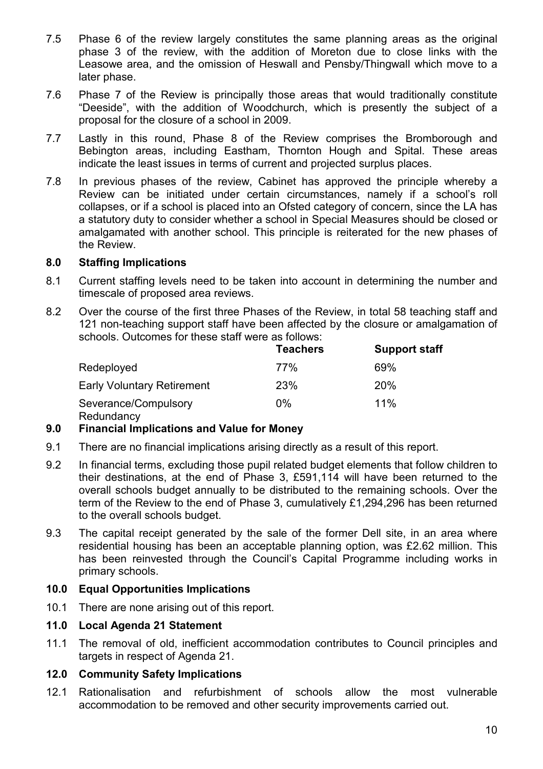- 7.5 Phase 6 of the review largely constitutes the same planning areas as the original phase 3 of the review, with the addition of Moreton due to close links with the Leasowe area, and the omission of Heswall and Pensby/Thingwall which move to a later phase.
- 7.6 Phase 7 of the Review is principally those areas that would traditionally constitute "Deeside", with the addition of Woodchurch, which is presently the subject of a proposal for the closure of a school in 2009.
- 7.7 Lastly in this round, Phase 8 of the Review comprises the Bromborough and Bebington areas, including Eastham, Thornton Hough and Spital. These areas indicate the least issues in terms of current and projected surplus places.
- 7.8 In previous phases of the review, Cabinet has approved the principle whereby a Review can be initiated under certain circumstances, namely if a school's roll collapses, or if a school is placed into an Ofsted category of concern, since the LA has a statutory duty to consider whether a school in Special Measures should be closed or amalgamated with another school. This principle is reiterated for the new phases of the Review.

#### 8.0 Staffing Implications

- 8.1 Current staffing levels need to be taken into account in determining the number and timescale of proposed area reviews.
- 8.2 Over the course of the first three Phases of the Review, in total 58 teaching staff and 121 non-teaching support staff have been affected by the closure or amalgamation of schools. Outcomes for these staff were as follows:

|                                    | <b>Teachers</b> | <b>Support staff</b> |
|------------------------------------|-----------------|----------------------|
| Redeployed                         | 77%             | 69%                  |
| <b>Early Voluntary Retirement</b>  | 23%             | <b>20%</b>           |
| Severance/Compulsory<br>Redundancy | $0\%$           | 11%                  |

# 9.0 Financial Implications and Value for Money

- 9.1 There are no financial implications arising directly as a result of this report.
- 9.2 In financial terms, excluding those pupil related budget elements that follow children to their destinations, at the end of Phase 3, £591,114 will have been returned to the overall schools budget annually to be distributed to the remaining schools. Over the term of the Review to the end of Phase 3, cumulatively £1,294,296 has been returned to the overall schools budget.
- 9.3 The capital receipt generated by the sale of the former Dell site, in an area where residential housing has been an acceptable planning option, was £2.62 million. This has been reinvested through the Council's Capital Programme including works in primary schools.

# 10.0 Equal Opportunities Implications

10.1 There are none arising out of this report.

#### 11.0 Local Agenda 21 Statement

11.1 The removal of old, inefficient accommodation contributes to Council principles and targets in respect of Agenda 21.

# 12.0 Community Safety Implications

12.1 Rationalisation and refurbishment of schools allow the most vulnerable accommodation to be removed and other security improvements carried out.